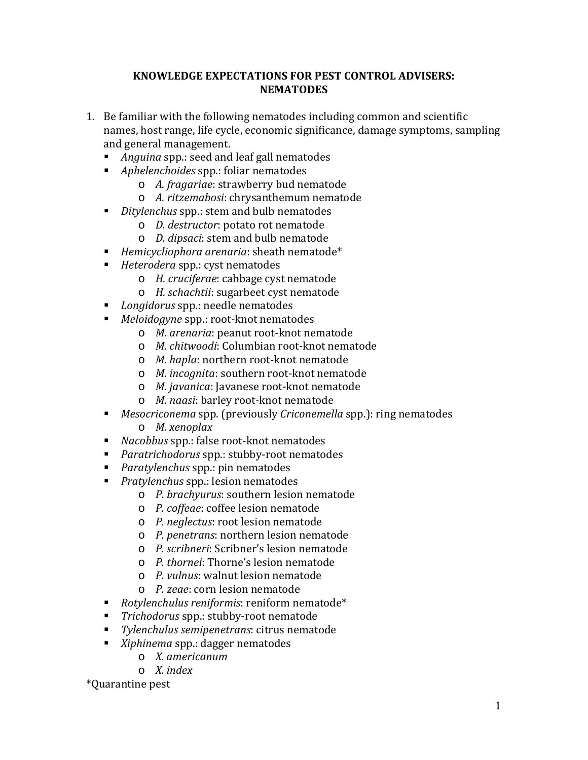#### **KNOWLEDGE EXPECTATIONS FOR PEST CONTROL ADVISERS: NEMATODES**

- 1. Be familiar with the following nematodes including common and scientific names, host range, life cycle, economic significance, damage symptoms, sampling and general management.
	- *Anguina* spp.: seed and leaf gall nematodes
	- *Aphelenchoides* spp.: foliar nematodes
		- o *A. fragariae*: strawberry bud nematode
		- o *A. ritzemabosi*: chrysanthemum nematode
	- *Ditylenchus* spp.: stem and bulb nematodes
		- o *D. destructor*: potato rot nematode
		- o *D. dipsaci*: stem and bulb nematode
	- *Hemicycliophora arenaria*: sheath nematode\*
	- *Heterodera* spp.: cyst nematodes
		- o *H. cruciferae*: cabbage cyst nematode
		- o *H. schachtii*: sugarbeet cyst nematode
	- *Longidorus* spp.: needle nematodes
	- $\blacksquare$ *Meloidogyne* spp.: root-knot nematodes
		- o *M. arenaria*: peanut root-knot nematode
		- o *M. chitwoodi*: Columbian root-knot nematode
		- o *M. hapla*: northern root-knot nematode
		- o *M. incognita*: southern root-knot nematode
		- o *M. javanica*: Javanese root-knot nematode
		- o *M. naasi*: barley root-knot nematode
	- *Mesocriconema* spp. (previously *Criconemella* spp.): ring nematodes o *M. xenoplax*
	- *Nacobbus* spp.: false root-knot nematodes
	- *Paratrichodorus* spp.: stubby-root nematodes
	- *Paratylenchus* spp.: pin nematodes
	- *Pratylenchus* spp.: lesion nematodes
		- o *P. brachyurus*: southern lesion nematode
		- o *P. coffeae*: coffee lesion nematode
		- o *P. neglectus*: root lesion nematode
		- o *P. penetrans*: northern lesion nematode
		- o *P. scribneri*: Scribner's lesion nematode
		- o *P. thornei*: Thorne's lesion nematode
		- o *P. vulnus*: walnut lesion nematode
		- o *P. zeae*: corn lesion nematode
	- *Rotylenchulus reniformis*: reniform nematode\*
	- *Trichodorus* spp.: stubby-root nematode
	- *Tylenchulus semipenetrans*: citrus nematode
	- *Xiphinema* spp.: dagger nematodes
		- o *X. americanum*
		- o *X. index*

\*Quarantine pest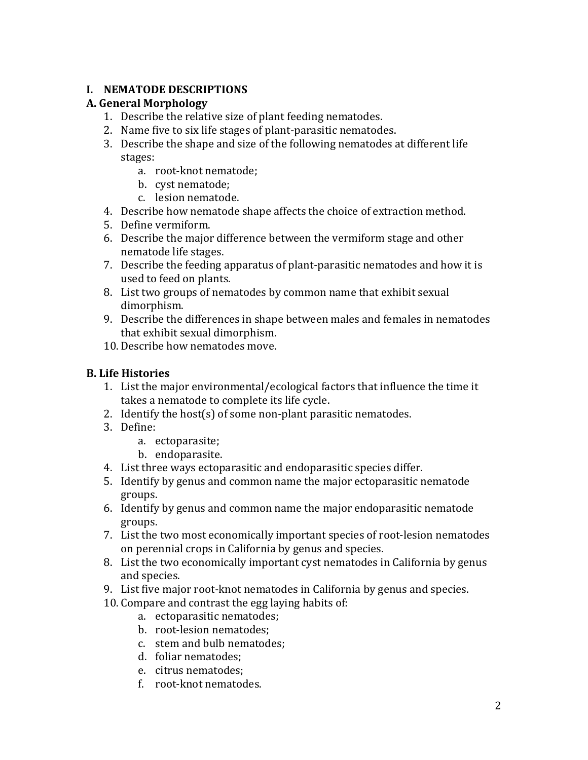# **I. NEMATODE DESCRIPTIONS**

# **A. General Morphology**

- 1. Describe the relative size of plant feeding nematodes.
- 2. Name five to six life stages of plant-parasitic nematodes.
- 3. Describe the shape and size of the following nematodes at different life stages:
	- a. root-knot nematode;
	- b. cyst nematode;
	- c. lesion nematode.
- 4. Describe how nematode shape affects the choice of extraction method.
- 5. Define vermiform.
- 6. Describe the major difference between the vermiform stage and other nematode life stages.
- 7. Describe the feeding apparatus of plant-parasitic nematodes and how it is used to feed on plants.
- 8. List two groups of nematodes by common name that exhibit sexual dimorphism.
- 9. Describe the differences in shape between males and females in nematodes that exhibit sexual dimorphism.
- 10. Describe how nematodes move.

# **B. Life Histories**

- 1. List the major environmental/ecological factors that influence the time it takes a nematode to complete its life cycle.
- 2. Identify the host(s) of some non-plant parasitic nematodes.
- 3. Define:
	- a. ectoparasite;
	- b. endoparasite.
- 4. List three ways ectoparasitic and endoparasitic species differ.
- 5. Identify by genus and common name the major ectoparasitic nematode groups.
- 6. Identify by genus and common name the major endoparasitic nematode groups.
- 7. List the two most economically important species of root-lesion nematodes on perennial crops in California by genus and species.
- 8. List the two economically important cyst nematodes in California by genus and species.
- 9. List five major root-knot nematodes in California by genus and species.
- 10. Compare and contrast the egg laying habits of:
	- a. ectoparasitic nematodes;
	- b. root-lesion nematodes;
	- c. stem and bulb nematodes;
	- d. foliar nematodes;
	- e. citrus nematodes;
	- f. root-knot nematodes.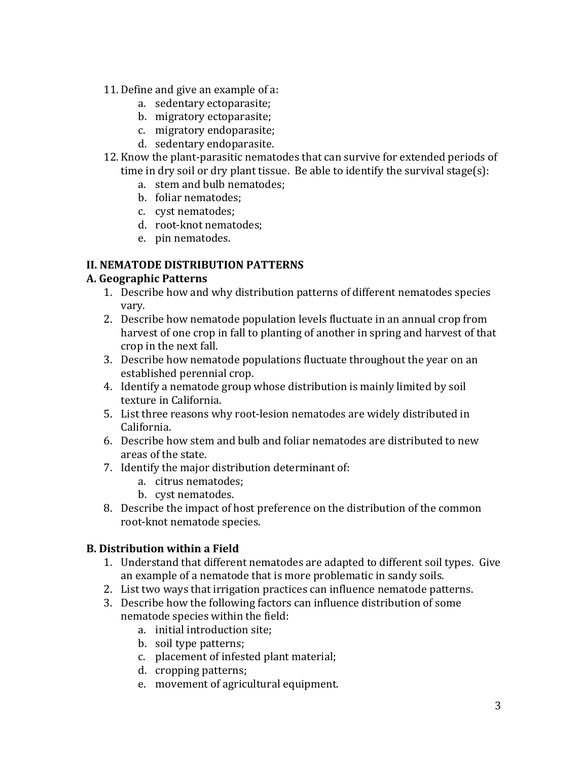- 11. Define and give an example of a:
	- a. sedentary ectoparasite;
	- b. migratory ectoparasite;
	- c. migratory endoparasite;
	- d. sedentary endoparasite.
- 12. Know the plant-parasitic nematodes that can survive for extended periods of time in dry soil or dry plant tissue. Be able to identify the survival stage(s):
	- a. stem and bulb nematodes;
	- b. foliar nematodes;
	- c. cyst nematodes;
	- d. root-knot nematodes;
	- e. pin nematodes.

# **II. NEMATODE DISTRIBUTION PATTERNS**

#### **A. Geographic Patterns**

- 1. Describe how and why distribution patterns of different nematodes species vary.
- 2. Describe how nematode population levels fluctuate in an annual crop from harvest of one crop in fall to planting of another in spring and harvest of that crop in the next fall.
- 3. Describe how nematode populations fluctuate throughout the year on an established perennial crop.
- 4. Identify a nematode group whose distribution is mainly limited by soil texture in California.
- 5. List three reasons why root-lesion nematodes are widely distributed in California.
- 6. Describe how stem and bulb and foliar nematodes are distributed to new areas of the state.
- 7. Identify the major distribution determinant of:
	- a. citrus nematodes;
	- b. cyst nematodes.
- 8. Describe the impact of host preference on the distribution of the common root-knot nematode species.

# **B. Distribution within a Field**

- 1. Understand that different nematodes are adapted to different soil types. Give an example of a nematode that is more problematic in sandy soils.
- 2. List two ways that irrigation practices can influence nematode patterns.
- 3. Describe how the following factors can influence distribution of some nematode species within the field:
	- a. initial introduction site;
	- b. soil type patterns;
	- c. placement of infested plant material;
	- d. cropping patterns;
	- e. movement of agricultural equipment.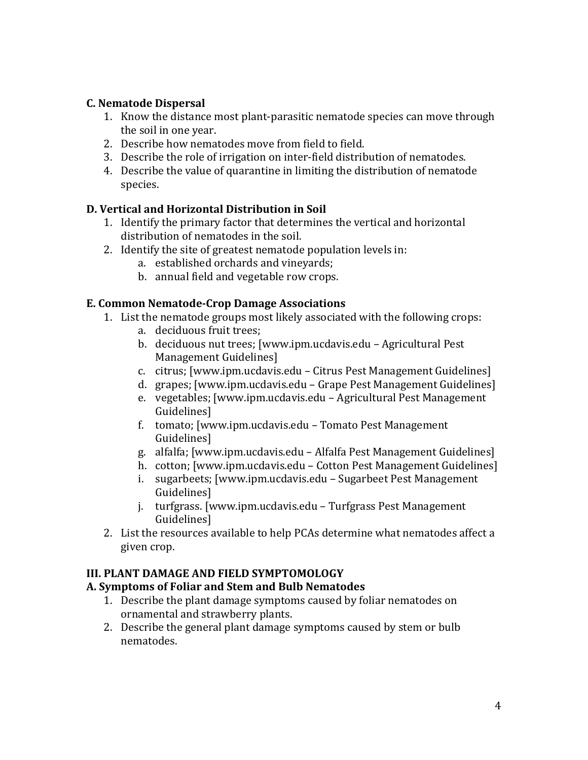### **C. Nematode Dispersal**

- 1. Know the distance most plant-parasitic nematode species can move through the soil in one year.
- 2. Describe how nematodes move from field to field.
- 3. Describe the role of irrigation on inter-field distribution of nematodes.
- 4. Describe the value of quarantine in limiting the distribution of nematode species.

#### **D. Vertical and Horizontal Distribution in Soil**

- 1. Identify the primary factor that determines the vertical and horizontal distribution of nematodes in the soil.
- 2. Identify the site of greatest nematode population levels in:
	- a. established orchards and vineyards;
	- b. annual field and vegetable row crops.

#### **E. Common Nematode-Crop Damage Associations**

- 1. List the nematode groups most likely associated with the following crops:
	- a. deciduous fruit trees;
	- b. deciduous nut trees; [www.ipm.ucdavis.edu Agricultural Pest Management Guidelines]
	- c. citrus; [www.ipm.ucdavis.edu Citrus Pest Management Guidelines]
	- d. grapes; [www.ipm.ucdavis.edu Grape Pest Management Guidelines]
	- e. vegetables; [www.ipm.ucdavis.edu Agricultural Pest Management Guidelines]
	- f. tomato; [www.ipm.ucdavis.edu Tomato Pest Management Guidelines]
	- g. alfalfa; [www.ipm.ucdavis.edu Alfalfa Pest Management Guidelines]
	- h. cotton; [www.ipm.ucdavis.edu Cotton Pest Management Guidelines]
	- i. sugarbeets; [www.ipm.ucdavis.edu Sugarbeet Pest Management Guidelines]
	- j. turfgrass. [www.ipm.ucdavis.edu Turfgrass Pest Management Guidelines]
- 2. List the resources available to help PCAs determine what nematodes affect a given crop.

# **III. PLANT DAMAGE AND FIELD SYMPTOMOLOGY**

#### **A. Symptoms of Foliar and Stem and Bulb Nematodes**

- 1. Describe the plant damage symptoms caused by foliar nematodes on ornamental and strawberry plants.
- 2. Describe the general plant damage symptoms caused by stem or bulb nematodes.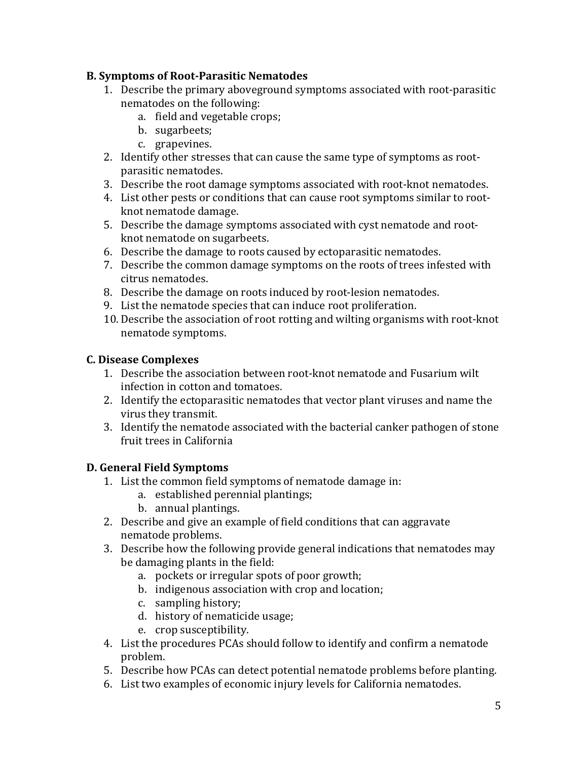# **B. Symptoms of Root-Parasitic Nematodes**

- 1. Describe the primary aboveground symptoms associated with root-parasitic nematodes on the following:
	- a. field and vegetable crops;
	- b. sugarbeets;
	- c. grapevines.
- 2. Identify other stresses that can cause the same type of symptoms as rootparasitic nematodes.
- 3. Describe the root damage symptoms associated with root-knot nematodes.
- 4. List other pests or conditions that can cause root symptoms similar to rootknot nematode damage.
- 5. Describe the damage symptoms associated with cyst nematode and rootknot nematode on sugarbeets.
- 6. Describe the damage to roots caused by ectoparasitic nematodes.
- 7. Describe the common damage symptoms on the roots of trees infested with citrus nematodes.
- 8. Describe the damage on roots induced by root-lesion nematodes.
- 9. List the nematode species that can induce root proliferation.
- 10. Describe the association of root rotting and wilting organisms with root-knot nematode symptoms.

# **C. Disease Complexes**

- 1. Describe the association between root-knot nematode and Fusarium wilt infection in cotton and tomatoes.
- 2. Identify the ectoparasitic nematodes that vector plant viruses and name the virus they transmit.
- 3. Identify the nematode associated with the bacterial canker pathogen of stone fruit trees in California

# **D. General Field Symptoms**

- 1. List the common field symptoms of nematode damage in:
	- a. established perennial plantings;
	- b. annual plantings.
- 2. Describe and give an example of field conditions that can aggravate nematode problems.
- 3. Describe how the following provide general indications that nematodes may be damaging plants in the field:
	- a. pockets or irregular spots of poor growth;
	- b. indigenous association with crop and location;
	- c. sampling history;
	- d. history of nematicide usage;
	- e. crop susceptibility.
- 4. List the procedures PCAs should follow to identify and confirm a nematode problem.
- 5. Describe how PCAs can detect potential nematode problems before planting.
- 6. List two examples of economic injury levels for California nematodes.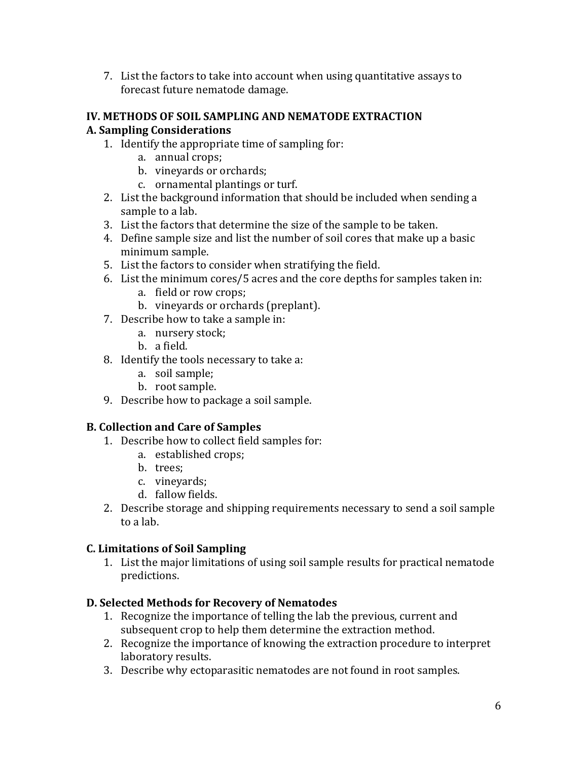7. List the factors to take into account when using quantitative assays to forecast future nematode damage.

#### **IV. METHODS OF SOIL SAMPLING AND NEMATODE EXTRACTION A. Sampling Considerations**

- 1. Identify the appropriate time of sampling for:
	- a. annual crops;
	- b. vineyards or orchards;
	- c. ornamental plantings or turf.
- 2. List the background information that should be included when sending a sample to a lab.
- 3. List the factors that determine the size of the sample to be taken.
- 4. Define sample size and list the number of soil cores that make up a basic minimum sample.
- 5. List the factors to consider when stratifying the field.
- 6. List the minimum cores/5 acres and the core depths for samples taken in:
	- a. field or row crops;
	- b. vineyards or orchards (preplant).
- 7. Describe how to take a sample in:
	- a. nursery stock;
	- b. a field.
- 8. Identify the tools necessary to take a:
	- a. soil sample;
	- b. root sample.
- 9. Describe how to package a soil sample.

# **B. Collection and Care of Samples**

- 1. Describe how to collect field samples for:
	- a. established crops;
	- b. trees;
	- c. vineyards;
	- d. fallow fields.
- 2. Describe storage and shipping requirements necessary to send a soil sample to a lab.

# **C. Limitations of Soil Sampling**

1. List the major limitations of using soil sample results for practical nematode predictions.

# **D. Selected Methods for Recovery of Nematodes**

- 1. Recognize the importance of telling the lab the previous, current and subsequent crop to help them determine the extraction method.
- 2. Recognize the importance of knowing the extraction procedure to interpret laboratory results.
- 3. Describe why ectoparasitic nematodes are not found in root samples.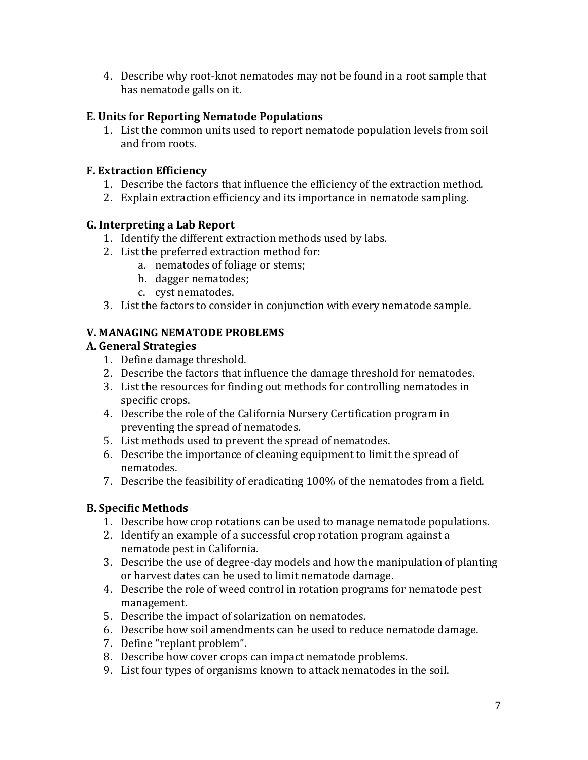4. Describe why root-knot nematodes may not be found in a root sample that has nematode galls on it.

# **E. Units for Reporting Nematode Populations**

1. List the common units used to report nematode population levels from soil and from roots.

# **F. Extraction Efficiency**

- 1. Describe the factors that influence the efficiency of the extraction method.
- 2. Explain extraction efficiency and its importance in nematode sampling.

# **G. Interpreting a Lab Report**

- 1. Identify the different extraction methods used by labs.
- 2. List the preferred extraction method for:
	- a. nematodes of foliage or stems;
		- b. dagger nematodes;
		- c. cyst nematodes.
- 3. List the factors to consider in conjunction with every nematode sample.

# **V. MANAGING NEMATODE PROBLEMS**

# **A. General Strategies**

- 1. Define damage threshold.
- 2. Describe the factors that influence the damage threshold for nematodes.
- 3. List the resources for finding out methods for controlling nematodes in specific crops.
- 4. Describe the role of the California Nursery Certification program in preventing the spread of nematodes.
- 5. List methods used to prevent the spread of nematodes.
- 6. Describe the importance of cleaning equipment to limit the spread of nematodes.
- 7. Describe the feasibility of eradicating 100% of the nematodes from a field.

# **B. Specific Methods**

- 1. Describe how crop rotations can be used to manage nematode populations.
- 2. Identify an example of a successful crop rotation program against a nematode pest in California.
- 3. Describe the use of degree-day models and how the manipulation of planting or harvest dates can be used to limit nematode damage.
- 4. Describe the role of weed control in rotation programs for nematode pest management.
- 5. Describe the impact of solarization on nematodes.
- 6. Describe how soil amendments can be used to reduce nematode damage.
- 7. Define "replant problem".
- 8. Describe how cover crops can impact nematode problems.
- 9. List four types of organisms known to attack nematodes in the soil.